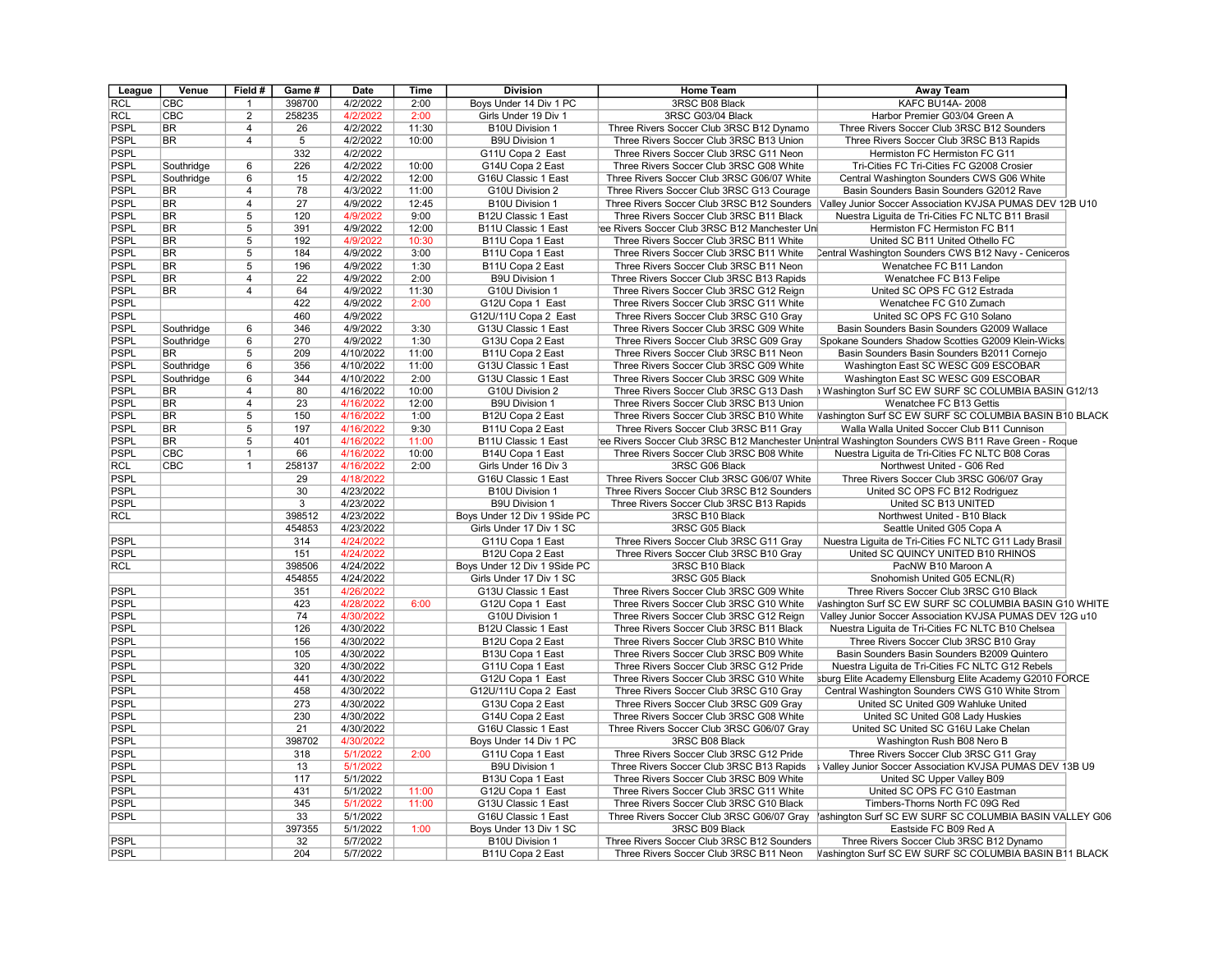| League      | Venue                  | Field #        | Game # | Date      | <b>Time</b> | <b>Division</b>              | <b>Home Team</b>                              | <b>Away Team</b>                                                                                      |  |
|-------------|------------------------|----------------|--------|-----------|-------------|------------------------------|-----------------------------------------------|-------------------------------------------------------------------------------------------------------|--|
| <b>RCL</b>  | CBC                    | 1              | 398700 | 4/2/2022  | 2:00        | Boys Under 14 Div 1 PC       | 3RSC B08 Black                                | KAFC BU14A-2008                                                                                       |  |
| <b>RCL</b>  | CBC                    | $\overline{2}$ | 258235 | 4/2/2022  | 2:00        | Girls Under 19 Div 1         | 3RSC G03/04 Black                             | Harbor Premier G03/04 Green A                                                                         |  |
| <b>PSPL</b> | <b>BR</b>              | 4              | 26     | 4/2/2022  | 11:30       | B10U Division 1              | Three Rivers Soccer Club 3RSC B12 Dynamo      | Three Rivers Soccer Club 3RSC B12 Sounders                                                            |  |
| <b>PSPL</b> | <b>BR</b>              | $\overline{4}$ | 5      | 4/2/2022  | 10:00       | <b>B9U Division 1</b>        | Three Rivers Soccer Club 3RSC B13 Union       | Three Rivers Soccer Club 3RSC B13 Rapids                                                              |  |
| <b>PSPL</b> |                        |                | 332    | 4/2/2022  |             | G11U Copa 2 East             | Three Rivers Soccer Club 3RSC G11 Neon        | Hermiston FC Hermiston FC G11                                                                         |  |
| <b>PSPL</b> | Southridge             | 6              | 226    | 4/2/2022  | 10:00       | G14U Copa 2 East             | Three Rivers Soccer Club 3RSC G08 White       | Tri-Cities FC Tri-Cities FC G2008 Crosier                                                             |  |
| <b>PSPL</b> | Southridge             | 6              | 15     | 4/2/2022  | 12:00       | G16U Classic 1 East          | Three Rivers Soccer Club 3RSC G06/07 White    | Central Washington Sounders CWS G06 White                                                             |  |
| <b>PSPL</b> | <b>BR</b>              | 4              | 78     | 4/3/2022  | 11:00       | G10U Division 2              | Three Rivers Soccer Club 3RSC G13 Courage     | Basin Sounders Basin Sounders G2012 Rave                                                              |  |
| <b>PSPL</b> | <b>BR</b>              | $\overline{4}$ | 27     | 4/9/2022  | 12:45       | <b>B10U Division 1</b>       |                                               | Three Rivers Soccer Club 3RSC B12 Sounders   Valley Junior Soccer Association KVJSA PUMAS DEV 12B U10 |  |
| <b>PSPL</b> | <b>BR</b>              | 5              | 120    | 4/9/2022  | 9:00        | B12U Classic 1 East          | Three Rivers Soccer Club 3RSC B11 Black       | Nuestra Liguita de Tri-Cities FC NLTC B11 Brasil                                                      |  |
| <b>PSPL</b> | <b>BR</b>              | 5              | 391    | 4/9/2022  | 12:00       | B11U Classic 1 East          | ee Rivers Soccer Club 3RSC B12 Manchester Uni | Hermiston FC Hermiston FC B11                                                                         |  |
| <b>PSPL</b> | <b>BR</b>              | 5              | 192    | 4/9/2022  | 10:30       | B11U Copa 1 East             | Three Rivers Soccer Club 3RSC B11 White       | United SC B11 United Othello FC                                                                       |  |
| PSPL        | <b>BR</b>              | $\overline{5}$ | 184    | 4/9/2022  | 3:00        | B11U Copa 1 East             | Three Rivers Soccer Club 3RSC B11 White       | Central Washington Sounders CWS B12 Navy - Ceniceros                                                  |  |
| <b>PSPL</b> | <b>BR</b>              | $\overline{5}$ | 196    | 4/9/2022  | 1:30        | B11U Copa 2 East             | Three Rivers Soccer Club 3RSC B11 Neon        | Wenatchee FC B11 Landon                                                                               |  |
| <b>PSPL</b> | <b>BR</b>              | $\overline{4}$ | 22     | 4/9/2022  | 2:00        | <b>B9U Division 1</b>        | Three Rivers Soccer Club 3RSC B13 Rapids      | Wenatchee FC B13 Felipe                                                                               |  |
| <b>PSPL</b> | <b>BR</b>              | 4              | 64     | 4/9/2022  | 11:30       | G10U Division 1              | Three Rivers Soccer Club 3RSC G12 Reign       | United SC OPS FC G12 Estrada                                                                          |  |
| <b>PSPL</b> |                        |                | 422    | 4/9/2022  | 2:00        | G12U Copa 1 East             | Three Rivers Soccer Club 3RSC G11 White       | Wenatchee FC G10 Zumach                                                                               |  |
| <b>PSPL</b> |                        |                | 460    | 4/9/2022  |             | G12U/11U Copa 2 East         | Three Rivers Soccer Club 3RSC G10 Gray        | United SC OPS FC G10 Solano                                                                           |  |
| <b>PSPL</b> | Southridge             | 6              | 346    | 4/9/2022  | 3:30        | G13U Classic 1 East          | Three Rivers Soccer Club 3RSC G09 White       | Basin Sounders Basin Sounders G2009 Wallace                                                           |  |
| <b>PSPL</b> | Southridge             | $\overline{6}$ | 270    | 4/9/2022  | 1:30        | G13U Copa 2 East             | Three Rivers Soccer Club 3RSC G09 Gray        | Spokane Sounders Shadow Scotties G2009 Klein-Wicks                                                    |  |
| <b>PSPL</b> | <b>BR</b>              | 5              | 209    | 4/10/2022 | 11:00       | B11U Copa 2 East             | Three Rivers Soccer Club 3RSC B11 Neon        | Basin Sounders Basin Sounders B2011 Cornejo                                                           |  |
| <b>PSPL</b> | Southridge             | 6              | 356    | 4/10/2022 | 11:00       | G13U Classic 1 East          | Three Rivers Soccer Club 3RSC G09 White       | Washington East SC WESC G09 ESCOBAR                                                                   |  |
| <b>PSPL</b> | Southridge             | 6              | 344    | 4/10/2022 | 2:00        | G13U Classic 1 East          | Three Rivers Soccer Club 3RSC G09 White       | Washington East SC WESC G09 ESCOBAR                                                                   |  |
| <b>PSPL</b> | <b>BR</b>              | 4              | 80     | 4/16/2022 | 10:00       | G10U Division 2              | Three Rivers Soccer Club 3RSC G13 Dash        | Mashington Surf SC EW SURF SC COLUMBIA BASIN G12/13                                                   |  |
| <b>PSPL</b> | <b>BR</b>              | $\overline{4}$ | 23     | 4/16/2022 | 12:00       | <b>B9U Division 1</b>        | Three Rivers Soccer Club 3RSC B13 Union       | Wenatchee FC B13 Gettis                                                                               |  |
| <b>PSPL</b> | <b>BR</b>              | 5              | 150    | 4/16/2022 | 1:00        | B12U Copa 2 East             | Three Rivers Soccer Club 3RSC B10 White       | Vashington Surf SC EW SURF SC COLUMBIA BASIN B10 BLACK                                                |  |
|             |                        |                | 197    | 4/16/2022 | 9:30        |                              |                                               |                                                                                                       |  |
| <b>PSPL</b> | <b>BR</b><br><b>BR</b> | 5<br>5         | 401    |           | 11:00       | B11U Copa 2 East             | Three Rivers Soccer Club 3RSC B11 Gray        | Walla Walla United Soccer Club B11 Cunnison                                                           |  |
| <b>PSPL</b> |                        |                |        | 4/16/2022 |             | B11U Classic 1 East          |                                               | ee Rivers Soccer Club 3RSC B12 Manchester Untentral Washington Sounders CWS B11 Rave Green - Roque    |  |
| <b>PSPL</b> | CBC                    | $\mathbf{1}$   | 66     | 4/16/2022 | 10:00       | B14U Copa 1 East             | Three Rivers Soccer Club 3RSC B08 White       | Nuestra Liguita de Tri-Cities FC NLTC B08 Coras                                                       |  |
| <b>RCL</b>  | CBC                    | $\mathbf{1}$   | 258137 | 4/16/2022 | 2:00        | Girls Under 16 Div 3         | 3RSC G06 Black                                | Northwest United - G06 Red                                                                            |  |
| PSPL        |                        |                | 29     | 4/18/2022 |             | G16U Classic 1 East          | Three Rivers Soccer Club 3RSC G06/07 White    | Three Rivers Soccer Club 3RSC G06/07 Gray                                                             |  |
| <b>PSPL</b> |                        |                | 30     | 4/23/2022 |             | B10U Division 1              | Three Rivers Soccer Club 3RSC B12 Sounders    | United SC OPS FC B12 Rodriguez                                                                        |  |
| <b>PSPL</b> |                        |                | 3      | 4/23/2022 |             | <b>B9U Division 1</b>        | Three Rivers Soccer Club 3RSC B13 Rapids      | United SC B13 UNITED                                                                                  |  |
| RCL         |                        |                | 398512 | 4/23/2022 |             | Boys Under 12 Div 1 9Side PC | 3RSC B10 Black                                | Northwest United - B10 Black                                                                          |  |
|             |                        |                | 454853 | 4/23/2022 |             | Girls Under 17 Div 1 SC      | 3RSC G05 Black                                | Seattle United G05 Copa A                                                                             |  |
| PSPL        |                        |                | 314    | 4/24/2022 |             | G11U Copa 1 East             | Three Rivers Soccer Club 3RSC G11 Gray        | Nuestra Liquita de Tri-Cities FC NLTC G11 Lady Brasil                                                 |  |
| <b>PSPL</b> |                        |                | 151    | 4/24/2022 |             | B12U Copa 2 East             | Three Rivers Soccer Club 3RSC B10 Gray        | United SC QUINCY UNITED B10 RHINOS                                                                    |  |
| <b>RCL</b>  |                        |                | 398506 | 4/24/2022 |             | Boys Under 12 Div 1 9Side PC | 3RSC B10 Black                                | PacNW B10 Maroon A                                                                                    |  |
|             |                        |                | 454855 | 4/24/2022 |             | Girls Under 17 Div 1 SC      | 3RSC G05 Black                                | Snohomish United G05 ECNL(R)                                                                          |  |
| <b>PSPL</b> |                        |                | 351    | 4/26/2022 |             | G13U Classic 1 East          | Three Rivers Soccer Club 3RSC G09 White       | Three Rivers Soccer Club 3RSC G10 Black                                                               |  |
| PSPL        |                        |                | 423    | 4/28/2022 | 6:00        | G12U Copa 1 East             | Three Rivers Soccer Club 3RSC G10 White       | Vashington Surf SC EW SURF SC COLUMBIA BASIN G10 WHITE                                                |  |
| <b>PSPL</b> |                        |                | 74     | 4/30/2022 |             | G10U Division 1              | Three Rivers Soccer Club 3RSC G12 Reign       | Valley Junior Soccer Association KVJSA PUMAS DEV 12G u10                                              |  |
| <b>PSPL</b> |                        |                | 126    | 4/30/2022 |             | B12U Classic 1 East          | Three Rivers Soccer Club 3RSC B11 Black       | Nuestra Liguita de Tri-Cities FC NLTC B10 Chelsea                                                     |  |
| <b>PSPL</b> |                        |                | 156    | 4/30/2022 |             | B12U Copa 2 East             | Three Rivers Soccer Club 3RSC B10 White       | Three Rivers Soccer Club 3RSC B10 Gray                                                                |  |
| <b>PSPL</b> |                        |                | 105    | 4/30/2022 |             | B13U Copa 1 East             | Three Rivers Soccer Club 3RSC B09 White       | Basin Sounders Basin Sounders B2009 Quintero                                                          |  |
| <b>PSPL</b> |                        |                | 320    | 4/30/2022 |             | G11U Copa 1 East             | Three Rivers Soccer Club 3RSC G12 Pride       | Nuestra Liguita de Tri-Cities FC NLTC G12 Rebels                                                      |  |
| <b>PSPL</b> |                        |                | 441    | 4/30/2022 |             | G12U Copa 1 East             | Three Rivers Soccer Club 3RSC G10 White       | sburg Elite Academy Ellensburg Elite Academy G2010 FORCE                                              |  |
| <b>PSPL</b> |                        |                | 458    | 4/30/2022 |             | G12U/11U Copa 2 East         | Three Rivers Soccer Club 3RSC G10 Gray        | Central Washington Sounders CWS G10 White Strom                                                       |  |
| <b>PSPL</b> |                        |                | 273    | 4/30/2022 |             | G13U Copa 2 East             | Three Rivers Soccer Club 3RSC G09 Gray        | United SC United G09 Wahluke United                                                                   |  |
| <b>PSPL</b> |                        |                | 230    | 4/30/2022 |             | G14U Copa 2 East             | Three Rivers Soccer Club 3RSC G08 White       | United SC United G08 Lady Huskies                                                                     |  |
| <b>PSPL</b> |                        |                | 21     | 4/30/2022 |             | G16U Classic 1 East          | Three Rivers Soccer Club 3RSC G06/07 Gray     | United SC United SC G16U Lake Chelan                                                                  |  |
| <b>PSPL</b> |                        |                | 398702 | 4/30/2022 |             | Bovs Under 14 Div 1 PC       | 3RSC B08 Black                                | Washington Rush B08 Nero B                                                                            |  |
| <b>PSPL</b> |                        |                | 318    | 5/1/2022  | 2:00        | G11U Copa 1 East             | Three Rivers Soccer Club 3RSC G12 Pride       | Three Rivers Soccer Club 3RSC G11 Gray                                                                |  |
| PSPL        |                        |                | 13     | 5/1/2022  |             | <b>B9U Division 1</b>        | Three Rivers Soccer Club 3RSC B13 Rapids      | Valley Junior Soccer Association KVJSA PUMAS DEV 13B U9                                               |  |
| <b>PSPL</b> |                        |                | 117    | 5/1/2022  |             | B13U Copa 1 East             | Three Rivers Soccer Club 3RSC B09 White       | United SC Upper Valley B09                                                                            |  |
| <b>PSPL</b> |                        |                | 431    | 5/1/2022  | 11:00       | G12U Copa 1 East             | Three Rivers Soccer Club 3RSC G11 White       | United SC OPS FC G10 Eastman                                                                          |  |
| <b>PSPL</b> |                        |                | 345    | 5/1/2022  | 11:00       | G13U Classic 1 East          | Three Rivers Soccer Club 3RSC G10 Black       | Timbers-Thorns North FC 09G Red                                                                       |  |
| <b>PSPL</b> |                        |                | 33     | 5/1/2022  |             | G16U Classic 1 East          | Three Rivers Soccer Club 3RSC G06/07 Gray     | ashington Surf SC EW SURF SC COLUMBIA BASIN VALLEY G06                                                |  |
|             |                        |                | 397355 | 5/1/2022  | 1:00        | Boys Under 13 Div 1 SC       | 3RSC B09 Black                                | Eastside FC B09 Red A                                                                                 |  |
| <b>PSPL</b> |                        |                | 32     | 5/7/2022  |             | B10U Division 1              | Three Rivers Soccer Club 3RSC B12 Sounders    | Three Rivers Soccer Club 3RSC B12 Dynamo                                                              |  |
| PSPL        |                        |                | 204    | 5/7/2022  |             | B11U Copa 2 East             | Three Rivers Soccer Club 3RSC B11 Neon        | Vashington Surf SC EW SURF SC COLUMBIA BASIN B11 BLACK                                                |  |
|             |                        |                |        |           |             |                              |                                               |                                                                                                       |  |